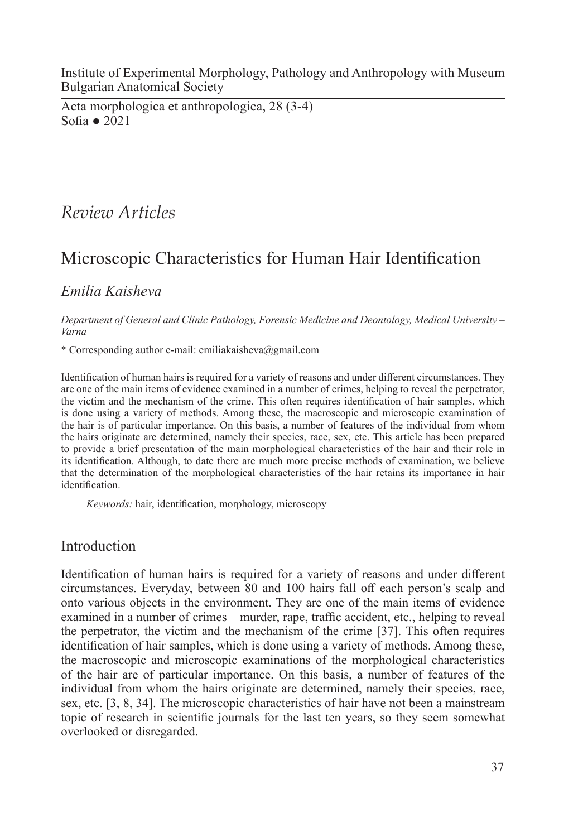Institute of Experimental Morphology, Pathology and Anthropology with Museum Bulgarian Anatomical Society

Acta morphologica et anthropologica, 28 (3-4) Sofia ● 2021

## *Review Articles*

# Microscopic Characteristics for Human Hair Identification

### *Emilia Kaisheva*

*Department of General and Clinic Pathology, Forensic Medicine and Deontology, Medical University ‒ Varna*

\* Corresponding author e-mail: emiliakaisheva@gmail.com

Identification of human hairs is required for a variety of reasons and under different circumstances. They are one of the main items of evidence examined in a number of crimes, helping to reveal the perpetrator, the victim and the mechanism of the crime. This often requires identification of hair samples, which is done using a variety of methods. Among these, the macroscopic and microscopic examination of the hair is of particular importance. On this basis, a number of features of the individual from whom the hairs originate are determined, namely their species, race, sex, etc. This article has been prepared to provide a brief presentation of the main morphological characteristics of the hair and their role in its identification. Although, to date there are much more precise methods of examination, we believe that the determination of the morphological characteristics of the hair retains its importance in hair identification.

*Keywords:* hair, identification, morphology, microscopy

#### Introduction

Identification of human hairs is required for a variety of reasons and under different circumstances. Everyday, between 80 and 100 hairs fall off each person's scalp and onto various objects in the environment. They are one of the main items of evidence examined in a number of crimes – murder, rape, traffic accident, etc., helping to reveal the perpetrator, the victim and the mechanism of the crime [37]. This often requires identification of hair samples, which is done using a variety of methods. Among these, the macroscopic and microscopic examinations of the morphological characteristics of the hair are of particular importance. On this basis, a number of features of the individual from whom the hairs originate are determined, namely their species, race, sex, etc. [3, 8, 34]. The microscopic characteristics of hair have not been a mainstream topic of research in scientific journals for the last ten years, so they seem somewhat overlooked or disregarded.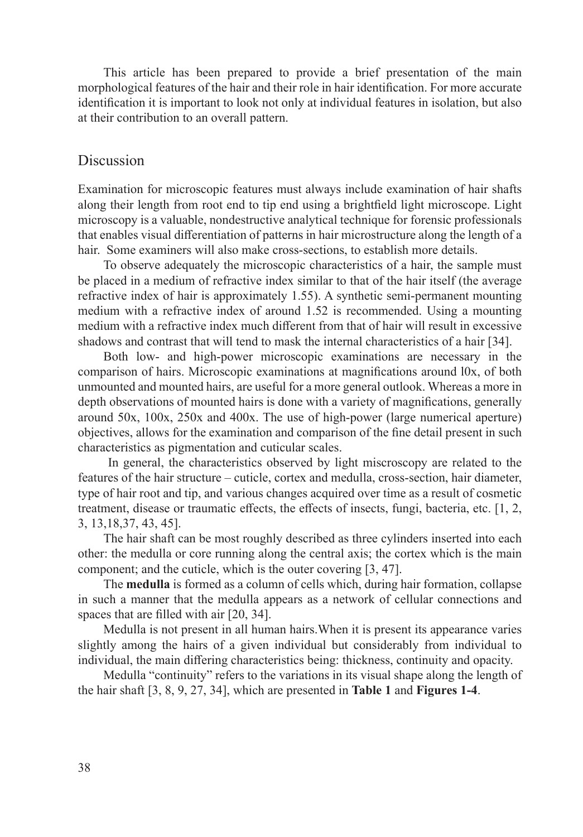This article has been prepared to provide a brief presentation of the main morphological features of the hair and their role in hair identification. For more accurate identification it is important to look not only at individual features in isolation, but also at their contribution to an overall pattern.

#### Discussion

Examination for microscopic features must always include examination of hair shafts along their length from root end to tip end using a brightfield light microscope. Light microscopy is a valuable, nondestructive analytical technique for forensic professionals that enables visual differentiation of patterns in hair microstructure along the length of a hair. Some examiners will also make cross-sections, to establish more details.

To observe adequately the microscopic characteristics of a hair, the sample must be placed in a medium of refractive index similar to that of the hair itself (the average refractive index of hair is approximately 1.55). A synthetic semi-permanent mounting medium with a refractive index of around 1.52 is recommended. Using a mounting medium with a refractive index much different from that of hair will result in excessive shadows and contrast that will tend to mask the internal characteristics of a hair [34].

Both low- and high-power microscopic examinations are necessary in the comparison of hairs. Microscopic examinations at magnifications around l0x, of both unmounted and mounted hairs, are useful for a more general outlook. Whereas a more in depth observations of mounted hairs is done with a variety of magnifications, generally around 50x, 100x, 250x and 400x. The use of high-power (large numerical aperture) objectives, allows for the examination and comparison of the fine detail present in such characteristics as pigmentation and cuticular scales.

 In general, the characteristics observed by light miscroscopy are related to the features of the hair structure – cuticle, cortex and medulla, cross-section, hair diameter, type of hair root and tip, and various changes acquired over time as a result of cosmetic treatment, disease or traumatic effects, the effects of insects, fungi, bacteria, etc. [1, 2, 3, 13,18,37, 43, 45].

The hair shaft can be most roughly described as three cylinders inserted into each other: the medulla or core running along the central axis; the cortex which is the main component; and the cuticle, which is the outer covering [3, 47].

The **medulla** is formed as a column of cells which, during hair formation, collapse in such a manner that the medulla appears as a network of cellular connections and spaces that are filled with air [20, 34].

Medulla is not present in all human hairs.When it is present its appearance varies slightly among the hairs of a given individual but considerably from individual to individual, the main differing characteristics being: thickness, continuity and opacity.

Medulla "continuity" refers to the variations in its visual shape along the length of the hair shaft [3, 8, 9, 27, 34], which are presented in **Table 1** and **Figures 1-4**.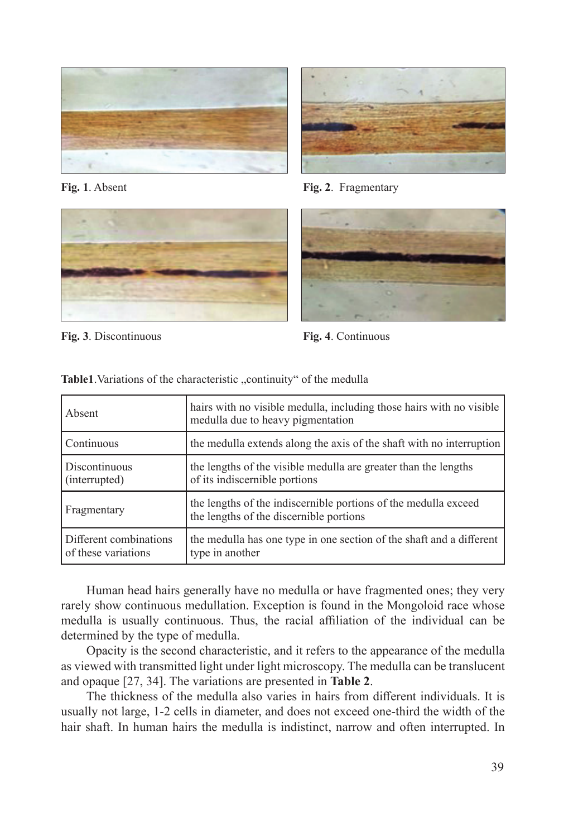





Fig. 1. Absent **Fig. 2**. Fragmentary



**Fig. 3**. Discontinuous **Fig. 4**. Continuous

| Absent                                        | hairs with no visible medulla, including those hairs with no visible<br>medulla due to heavy pigmentation  |
|-----------------------------------------------|------------------------------------------------------------------------------------------------------------|
| Continuous                                    | the medulla extends along the axis of the shaft with no interruption                                       |
| Discontinuous<br>(interrupted)                | the lengths of the visible medulla are greater than the lengths<br>of its indiscernible portions           |
| Fragmentary                                   | the lengths of the indiscernible portions of the medulla exceed<br>the lengths of the discernible portions |
| Different combinations<br>of these variations | the medulla has one type in one section of the shaft and a different<br>type in another                    |

Table1. Variations of the characteristic "continuity" of the medulla

Human head hairs generally have no medulla or have fragmented ones; they very rarely show continuous medullation. Exception is found in the Mongoloid race whose medulla is usually continuous. Thus, the racial affiliation of the individual can be determined by the type of medulla.

Opacity is the second characteristic, and it refers to the appearance of the medulla as viewed with transmitted light under light microscopy. The medulla can be translucent and opaque [27, 34]. The variations are presented in **Table 2**.

The thickness of the medulla also varies in hairs from different individuals. It is usually not large, 1-2 cells in diameter, and does not exceed one-third the width of the hair shaft. In human hairs the medulla is indistinct, narrow and often interrupted. In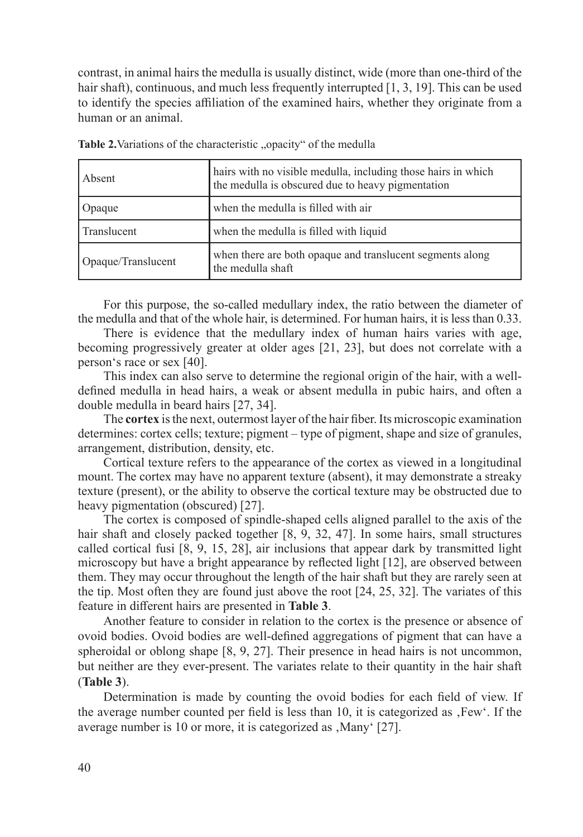contrast, in animal hairs the medulla is usually distinct, wide (more than one-third of the hair shaft), continuous, and much less frequently interrupted [1, 3, 19]. This can be used to identify the species affiliation of the examined hairs, whether they originate from a human or an animal.

| Absent             | hairs with no visible medulla, including those hairs in which<br>the medulla is obscured due to heavy pigmentation |
|--------------------|--------------------------------------------------------------------------------------------------------------------|
| Opaque             | when the medulla is filled with air                                                                                |
| Translucent        | when the medulla is filled with liquid                                                                             |
| Opaque/Translucent | when there are both opaque and translucent segments along<br>the medulla shaft                                     |

| Table 2. Variations of the characteristic "opacity" of the medulla |  |  |
|--------------------------------------------------------------------|--|--|
|--------------------------------------------------------------------|--|--|

For this purpose, the so-called medullary index, the ratio between the diameter of the medulla and that of the whole hair, is determined. For human hairs, it is less than 0.33.

There is evidence that the medullary index of human hairs varies with age, becoming progressively greater at older ages [21, 23], but does not correlate with a person's race or sex [40].

This index can also serve to determine the regional origin of the hair, with a welldefined medulla in head hairs, a weak or absent medulla in pubic hairs, and often a double medulla in beard hairs [27, 34].

The **cortex** is the next, outermost layer of the hair fiber. Its microscopic examination determines: cortex cells; texture; pigment – type of pigment, shape and size of granules, arrangement, distribution, density, etc.

Cortical texture refers to the appearance of the cortex as viewed in a longitudinal mount. The cortex may have no apparent texture (absent), it may demonstrate a streaky texture (present), or the ability to observe the cortical texture may be obstructed due to heavy pigmentation (obscured) [27].

The cortex is composed of spindle-shaped cells aligned parallel to the axis of the hair shaft and closely packed together [8, 9, 32, 47]. In some hairs, small structures called cortical fusi [8, 9, 15, 28], air inclusions that appear dark by transmitted light microscopy but have a bright appearance by reflected light [12], are observed between them. They may occur throughout the length of the hair shaft but they are rarely seen at the tip. Most often they are found just above the root [24, 25, 32]. The variates of this feature in different hairs are presented in **Table 3**.

Another feature to consider in relation to the cortex is the presence or absence of ovoid bodies. Ovoid bodies are well-defined aggregations of pigment that can have a spheroidal or oblong shape [8, 9, 27]. Their presence in head hairs is not uncommon, but neither are they ever-present. The variates relate to their quantity in the hair shaft (**Table 3**).

Determination is made by counting the ovoid bodies for each field of view. If the average number counted per field is less than 10, it is categorized as  $F_{\rm}$ . Few'. If the average number is 10 or more, it is categorized as , Many' [27].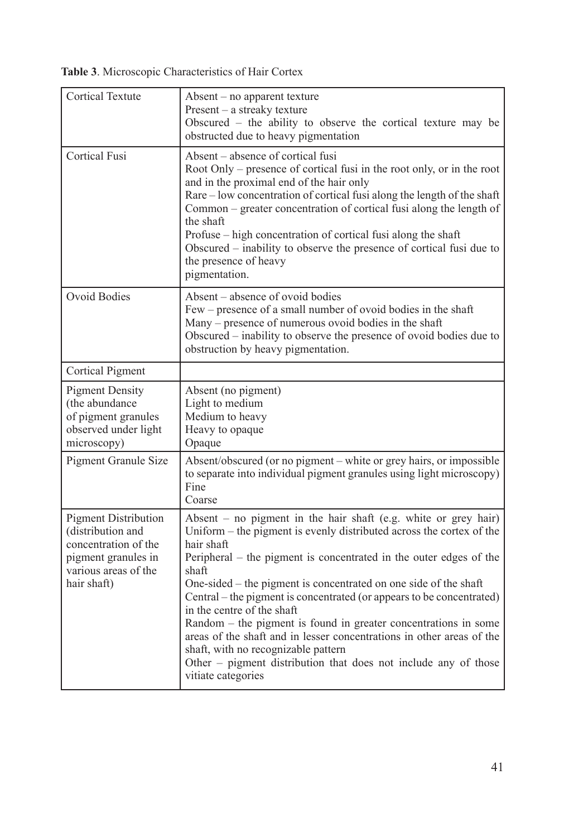**Table 3**. Microscopic Characteristics of Hair Cortex

| <b>Cortical Textute</b>                                                                                                                | Absent - no apparent texture<br>Present - a streaky texture<br>Obscured - the ability to observe the cortical texture may be<br>obstructed due to heavy pigmentation                                                                                                                                                                                                                                                                                                                                                                                                                                                                                                                          |
|----------------------------------------------------------------------------------------------------------------------------------------|-----------------------------------------------------------------------------------------------------------------------------------------------------------------------------------------------------------------------------------------------------------------------------------------------------------------------------------------------------------------------------------------------------------------------------------------------------------------------------------------------------------------------------------------------------------------------------------------------------------------------------------------------------------------------------------------------|
| <b>Cortical Fusi</b>                                                                                                                   | Absent – absence of cortical fusi<br>Root Only – presence of cortical fusi in the root only, or in the root<br>and in the proximal end of the hair only<br>Rare – low concentration of cortical fusi along the length of the shaft<br>Common - greater concentration of cortical fusi along the length of<br>the shaft<br>Profuse – high concentration of cortical fusi along the shaft<br>Obscured – inability to observe the presence of cortical fusi due to<br>the presence of heavy<br>pigmentation.                                                                                                                                                                                     |
| <b>Ovoid Bodies</b>                                                                                                                    | Absent – absence of ovoid bodies<br>Few – presence of a small number of ovoid bodies in the shaft<br>Many – presence of numerous ovoid bodies in the shaft<br>Obscured – inability to observe the presence of ovoid bodies due to<br>obstruction by heavy pigmentation.                                                                                                                                                                                                                                                                                                                                                                                                                       |
| Cortical Pigment                                                                                                                       |                                                                                                                                                                                                                                                                                                                                                                                                                                                                                                                                                                                                                                                                                               |
| <b>Pigment Density</b><br>(the abundance<br>of pigment granules<br>observed under light<br>microscopy)                                 | Absent (no pigment)<br>Light to medium<br>Medium to heavy<br>Heavy to opaque<br>Opaque                                                                                                                                                                                                                                                                                                                                                                                                                                                                                                                                                                                                        |
| Pigment Granule Size                                                                                                                   | Absent/obscured (or no pigment – white or grey hairs, or impossible<br>to separate into individual pigment granules using light microscopy)<br>Fine<br>Coarse                                                                                                                                                                                                                                                                                                                                                                                                                                                                                                                                 |
| <b>Pigment Distribution</b><br>(distribution and<br>concentration of the<br>pigment granules in<br>various areas of the<br>hair shaft) | Absent $-$ no pigment in the hair shaft (e.g. white or grey hair)<br>Uniform – the pigment is evenly distributed across the cortex of the<br>hair shaft<br>Peripheral – the pigment is concentrated in the outer edges of the<br>shaft<br>One-sided – the pigment is concentrated on one side of the shaft<br>Central – the pigment is concentrated (or appears to be concentrated)<br>in the centre of the shaft<br>Random – the pigment is found in greater concentrations in some<br>areas of the shaft and in lesser concentrations in other areas of the<br>shaft, with no recognizable pattern<br>Other – pigment distribution that does not include any of those<br>vitiate categories |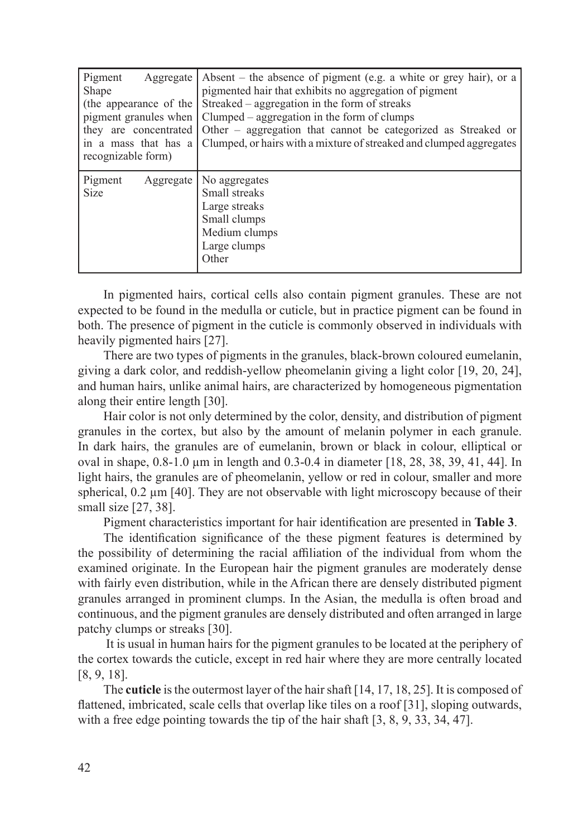| Pigment<br>Aggregate<br>Shape<br>the appearance of the<br>pigment granules when<br>they are concentrated<br>in a mass that has a<br>recognizable form) | Absent – the absence of pigment (e.g. a white or grey hair), or a<br>pigmented hair that exhibits no aggregation of pigment<br>Streaked – aggregation in the form of streaks<br>Clumped – aggregation in the form of clumps<br>Other – aggregation that cannot be categorized as Streaked or<br>Clumped, or hairs with a mixture of streaked and clumped aggregates |
|--------------------------------------------------------------------------------------------------------------------------------------------------------|---------------------------------------------------------------------------------------------------------------------------------------------------------------------------------------------------------------------------------------------------------------------------------------------------------------------------------------------------------------------|
| Pigment<br>Aggregate<br><b>Size</b>                                                                                                                    | No aggregates<br>Small streaks<br>Large streaks<br>Small clumps<br>Medium clumps<br>Large clumps<br>Other                                                                                                                                                                                                                                                           |

In pigmented hairs, cortical cells also contain pigment granules. These are not expected to be found in the medulla or cuticle, but in practice pigment can be found in both. The presence of pigment in the cuticle is commonly observed in individuals with heavily pigmented hairs [27].

There are two types of pigments in the granules, black-brown coloured eumelanin, giving a dark color, and reddish-yellow pheomelanin giving a light color [19, 20, 24], and human hairs, unlike animal hairs, are characterized by homogeneous pigmentation along their entire length [30].

Hair color is not only determined by the color, density, and distribution of pigment granules in the cortex, but also by the amount of melanin polymer in each granule. In dark hairs, the granules are of eumelanin, brown or black in colour, elliptical or oval in shape, 0.8-1.0 µm in length and 0.3-0.4 in diameter [18, 28, 38, 39, 41, 44]. In light hairs, the granules are of pheomelanin, yellow or red in colour, smaller and more spherical,  $0.2 \mu m$  [40]. They are not observable with light microscopy because of their small size [27, 38].

Pigment characteristics important for hair identification are presented in **Table 3**.

The identification significance of the these pigment features is determined by the possibility of determining the racial affiliation of the individual from whom the examined originate. In the European hair the pigment granules are moderately dense with fairly even distribution, while in the African there are densely distributed pigment granules arranged in prominent clumps. In the Asian, the medulla is often broad and continuous, and the pigment granules are densely distributed and often arranged in large patchy clumps or streaks [30].

 It is usual in human hairs for the pigment granules to be located at the periphery of the cortex towards the cuticle, except in red hair where they are more centrally located [8, 9, 18].

The **cuticle** is the outermost layer of the hair shaft [14, 17, 18, 25]. It is composed of flattened, imbricated, scale cells that overlap like tiles on a roof [31], sloping outwards, with a free edge pointing towards the tip of the hair shaft [3, 8, 9, 33, 34, 47].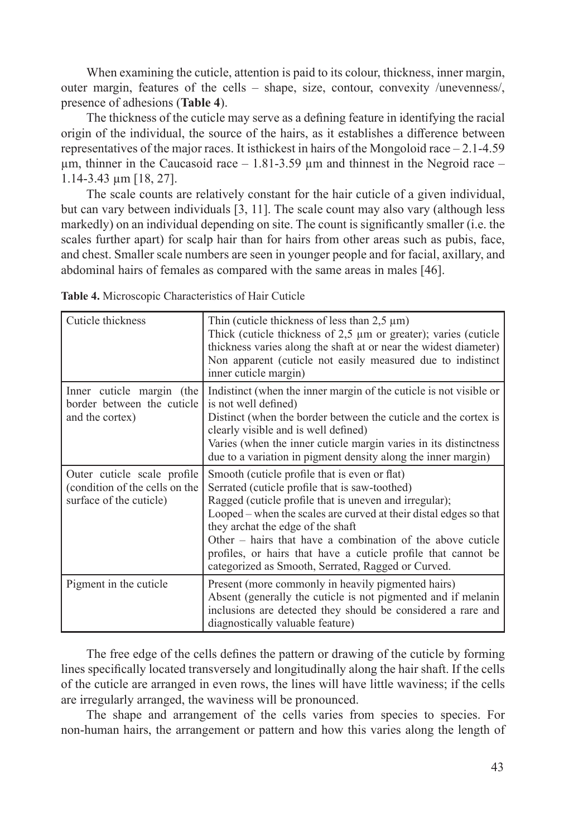When examining the cuticle, attention is paid to its colour, thickness, inner margin, outer margin, features of the cells – shape, size, contour, convexity /unevenness/, presence of adhesions (**Table 4**).

The thickness of the cuticle may serve as a defining feature in identifying the racial origin of the individual, the source of the hairs, as it establishes a difference between representatives of the major races. It isthickest in hairs of the Mongoloid race – 2.1-4.59  $\mu$ m, thinner in the Caucasoid race  $-1.81$ -3.59  $\mu$ m and thinnest in the Negroid race  $-$ 1.14-3.43 µm [18, 27].

The scale counts are relatively constant for the hair cuticle of a given individual, but can vary between individuals [3, 11]. The scale count may also vary (although less markedly) on an individual depending on site. The count is significantly smaller (i.e. the scales further apart) for scalp hair than for hairs from other areas such as pubis, face, and chest. Smaller scale numbers are seen in younger people and for facial, axillary, and abdominal hairs of females as compared with the same areas in males [46].

| Cuticle thickness                                                                        | Thin (cuticle thickness of less than $2.5 \mu m$ )<br>Thick (cuticle thickness of $2,5 \mu m$ or greater); varies (cuticle<br>thickness varies along the shaft at or near the widest diameter)<br>Non apparent (cuticle not easily measured due to indistinct<br>inner cuticle margin)                                                                                                                                                                   |
|------------------------------------------------------------------------------------------|----------------------------------------------------------------------------------------------------------------------------------------------------------------------------------------------------------------------------------------------------------------------------------------------------------------------------------------------------------------------------------------------------------------------------------------------------------|
| Inner cuticle margin (the<br>border between the cuticle<br>and the cortex)               | Indistinct (when the inner margin of the cuticle is not visible or<br>is not well defined)<br>Distinct (when the border between the cuticle and the cortex is<br>clearly visible and is well defined)<br>Varies (when the inner cuticle margin varies in its distinctness<br>due to a variation in pigment density along the inner margin)                                                                                                               |
| Outer cuticle scale profile<br>(condition of the cells on the<br>surface of the cuticle) | Smooth (cuticle profile that is even or flat)<br>Serrated (cuticle profile that is saw-toothed)<br>Ragged (cuticle profile that is uneven and irregular);<br>Looped – when the scales are curved at their distal edges so that<br>they archat the edge of the shaft<br>Other – hairs that have a combination of the above cuticle<br>profiles, or hairs that have a cuticle profile that cannot be<br>categorized as Smooth, Serrated, Ragged or Curved. |
| Pigment in the cuticle                                                                   | Present (more commonly in heavily pigmented hairs)<br>Absent (generally the cuticle is not pigmented and if melanin<br>inclusions are detected they should be considered a rare and<br>diagnostically valuable feature)                                                                                                                                                                                                                                  |

**Table 4.** Microscopic Characteristics of Hair Cuticle

The free edge of the cells defines the pattern or drawing of the cuticle by forming lines specifically located transversely and longitudinally along the hair shaft. If the cells of the cuticle are arranged in even rows, the lines will have little waviness; if the cells are irregularly arranged, the waviness will be pronounced.

The shape and arrangement of the cells varies from species to species. For non-human hairs, the arrangement or pattern and how this varies along the length of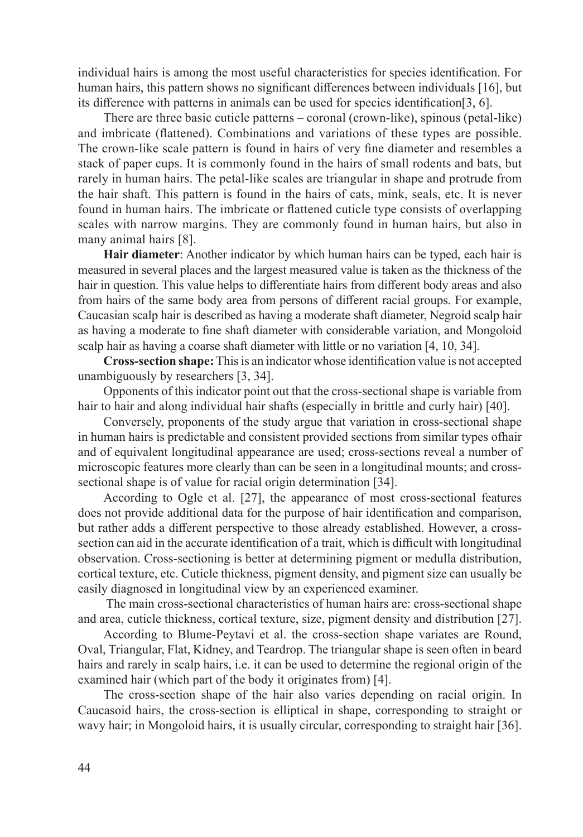individual hairs is among the most useful characteristics for species identification. For human hairs, this pattern shows no significant differences between individuals [16], but its difference with patterns in animals can be used for species identification[3, 6].

There are three basic cuticle patterns – coronal (crown-like), spinous (petal-like) and imbricate (flattened). Combinations and variations of these types are possible. The crown-like scale pattern is found in hairs of very fine diameter and resembles a stack of paper cups. It is commonly found in the hairs of small rodents and bats, but rarely in human hairs. The petal-like scales are triangular in shape and protrude from the hair shaft. This pattern is found in the hairs of cats, mink, seals, etc. It is never found in human hairs. The imbricate or flattened cuticle type consists of overlapping scales with narrow margins. They are commonly found in human hairs, but also in many animal hairs [8].

**Hair diameter**: Another indicator by which human hairs can be typed, each hair is measured in several places and the largest measured value is taken as the thickness of the hair in question. This value helps to differentiate hairs from different body areas and also from hairs of the same body area from persons of different racial groups. For example, Caucasian scalp hair is described as having a moderate shaft diameter, Negroid scalp hair as having a moderate to fine shaft diameter with considerable variation, and Mongoloid scalp hair as having a coarse shaft diameter with little or no variation [4, 10, 34].

**Cross-section shape:** This is an indicator whose identification value is not accepted unambiguously by researchers [3, 34].

Opponents of this indicator point out that the cross-sectional shape is variable from hair to hair and along individual hair shafts (especially in brittle and curly hair) [40].

Conversely, proponents of the study argue that variation in cross-sectional shape in human hairs is predictable and consistent provided sections from similar types ofhair and of equivalent longitudinal appearance are used; cross-sections reveal a number of microscopic features more clearly than can be seen in a longitudinal mounts; and crosssectional shape is of value for racial origin determination [34].

According to Ogle et al. [27], the appearance of most cross-sectional features does not provide additional data for the purpose of hair identification and comparison, but rather adds a different perspective to those already established. However, a crosssection can aid in the accurate identification of a trait, which is difficult with longitudinal observation. Cross-sectioning is better at determining pigment or medulla distribution, cortical texture, etc. Cuticle thickness, pigment density, and pigment size can usually be easily diagnosed in longitudinal view by an experienced examiner.

 The main cross-sectional characteristics of human hairs are: cross-sectional shape and area, cuticle thickness, cortical texture, size, pigment density and distribution [27].

According to Blume-Peytavi et al. the cross-section shape variates are Round, Oval, Triangular, Flat, Kidney, and Teardrop. The triangular shape is seen often in beard hairs and rarely in scalp hairs, i.e. it can be used to determine the regional origin of the examined hair (which part of the body it originates from) [4].

The cross-section shape of the hair also varies depending on racial origin. In Caucasoid hairs, the cross-section is elliptical in shape, corresponding to straight or wavy hair; in Mongoloid hairs, it is usually circular, corresponding to straight hair [36].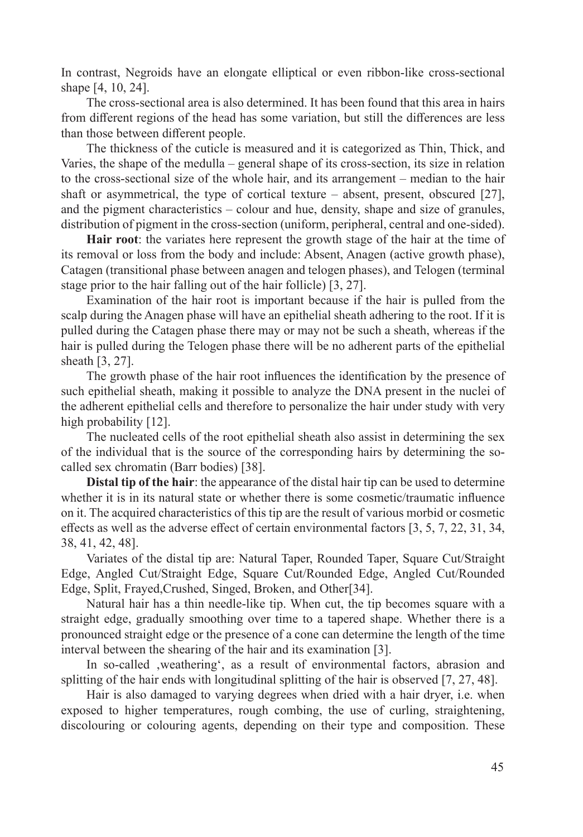In contrast, Negroids have an elongate elliptical or even ribbon-like cross-sectional shape [4, 10, 24].

The cross-sectional area is also determined. It has been found that this area in hairs from different regions of the head has some variation, but still the differences are less than those between different people.

The thickness of the cuticle is measured and it is categorized as Thin, Thick, and Varies, the shape of the medulla – general shape of its cross-section, its size in relation to the cross-sectional size of the whole hair, and its arrangement – median to the hair shaft or asymmetrical, the type of cortical texture – absent, present, obscured [27], and the pigment characteristics – colour and hue, density, shape and size of granules, distribution of pigment in the cross-section (uniform, peripheral, central and one-sided).

**Hair root**: the variates here represent the growth stage of the hair at the time of its removal or loss from the body and include: Absent, Anagen (active growth phase), Catagen (transitional phase between anagen and telogen phases), and Telogen (terminal stage prior to the hair falling out of the hair follicle) [3, 27].

Examination of the hair root is important because if the hair is pulled from the scalp during the Anagen phase will have an epithelial sheath adhering to the root. If it is pulled during the Catagen phase there may or may not be such a sheath, whereas if the hair is pulled during the Telogen phase there will be no adherent parts of the epithelial sheath [3, 27].

The growth phase of the hair root influences the identification by the presence of such epithelial sheath, making it possible to analyze the DNA present in the nuclei of the adherent epithelial cells and therefore to personalize the hair under study with very high probability [12].

The nucleated cells of the root epithelial sheath also assist in determining the sex of the individual that is the source of the corresponding hairs by determining the socalled sex chromatin (Barr bodies) [38].

**Distal tip of the hair**: the appearance of the distal hair tip can be used to determine whether it is in its natural state or whether there is some cosmetic/traumatic influence on it. The acquired characteristics of this tip are the result of various morbid or cosmetic effects as well as the adverse effect of certain environmental factors [3, 5, 7, 22, 31, 34, 38, 41, 42, 48].

Variates of the distal tip are: Natural Taper, Rounded Taper, Square Cut/Straight Edge, Angled Cut/Straight Edge, Square Cut/Rounded Edge, Angled Cut/Rounded Edge, Split, Frayed,Crushed, Singed, Broken, and Other[34].

Natural hair has a thin needle-like tip. When cut, the tip becomes square with a straight edge, gradually smoothing over time to a tapered shape. Whether there is a pronounced straight edge or the presence of a cone can determine the length of the time interval between the shearing of the hair and its examination [3].

In so-called , weathering', as a result of environmental factors, abrasion and splitting of the hair ends with longitudinal splitting of the hair is observed [7, 27, 48].

Hair is also damaged to varying degrees when dried with a hair dryer, i.e. when exposed to higher temperatures, rough combing, the use of curling, straightening, discolouring or colouring agents, depending on their type and composition. These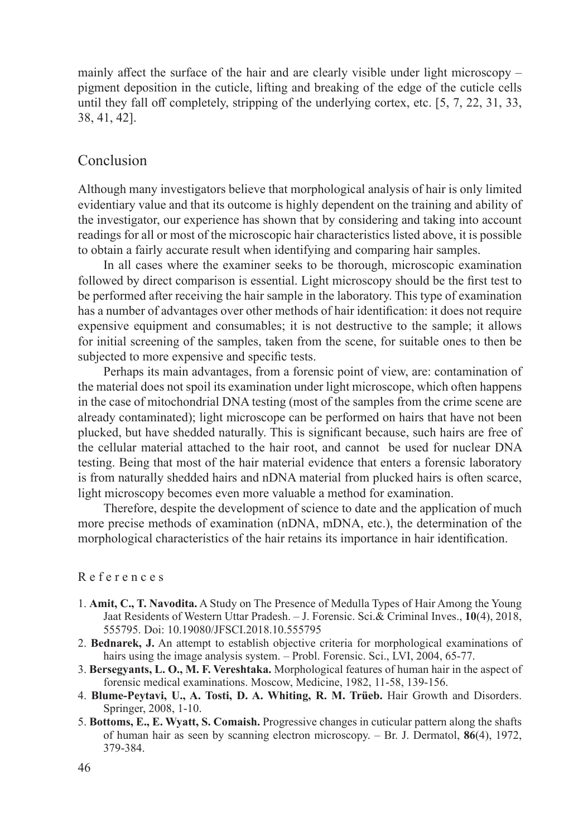mainly affect the surface of the hair and are clearly visible under light microscopy – pigment deposition in the cuticle, lifting and breaking of the edge of the cuticle cells until they fall off completely, stripping of the underlying cortex, etc. [5, 7, 22, 31, 33, 38, 41, 42].

#### Conclusion

Although many investigators believe that morphological analysis of hair is only limited evidentiary value and that its outcome is highly dependent on the training and ability of the investigator, our experience has shown that by considering and taking into account readings for all or most of the microscopic hair characteristics listed above, it is possible to obtain a fairly accurate result when identifying and comparing hair samples.

In all cases where the examiner seeks to be thorough, microscopic examination followed by direct comparison is essential. Light microscopy should be the first test to be performed after receiving the hair sample in the laboratory. This type of examination has a number of advantages over other methods of hair identification: it does not require expensive equipment and consumables; it is not destructive to the sample; it allows for initial screening of the samples, taken from the scene, for suitable ones to then be subjected to more expensive and specific tests.

Perhaps its main advantages, from a forensic point of view, are: contamination of the material does not spoil its examination under light microscope, which often happens in the case of mitochondrial DNA testing (most of the samples from the crime scene are already contaminated); light microscope can be performed on hairs that have not been plucked, but have shedded naturally. This is significant because, such hairs are free of the cellular material attached to the hair root, and cannot be used for nuclear DNA testing. Being that most of the hair material evidence that enters a forensic laboratory is from naturally shedded hairs and nDNA material from plucked hairs is often scarce, light microscopy becomes even more valuable a method for examination.

Therefore, despite the development of science to date and the application of much more precise methods of examination (nDNA, mDNA, etc.), the determination of the morphological characteristics of the hair retains its importance in hair identification.

#### R e f e r e n c e s

- 1. **Amit, C., T. Navodita.** A Study on The Presence of Medulla Types of Hair Among the Young Jaat Residents of Western Uttar Pradesh. – J. Forensic. Sci.& Criminal Inves., **10**(4), 2018, 555795. Doi: 10.19080/JFSCI.2018.10.555795
- 2. **Bednarek, J.** An attempt to establish objective criteria for morphological examinations of hairs using the image analysis system. – Probl. Forensic. Sci., LVI, 2004, 65-77.
- 3. **Bersegyants, L. O., M. F. Vereshtaka.** Morphological features of human hair in the aspect of forensic medical examinations. Moscow, Medicine, 1982, 11-58, 139-156.
- 4. **Blume-Peytavi, U., A. Tosti, D. A. Whiting, R. M. Trüeb.** Hair Growth and Disorders. Springer, 2008, 1-10.
- 5. **Bottoms, E., E. Wyatt, S. Comaish.** Progressive changes in cuticular pattern along the shafts of human hair as seen by scanning electron microscopy. – Br. J. Dermatol, **86**(4), 1972, 379-384.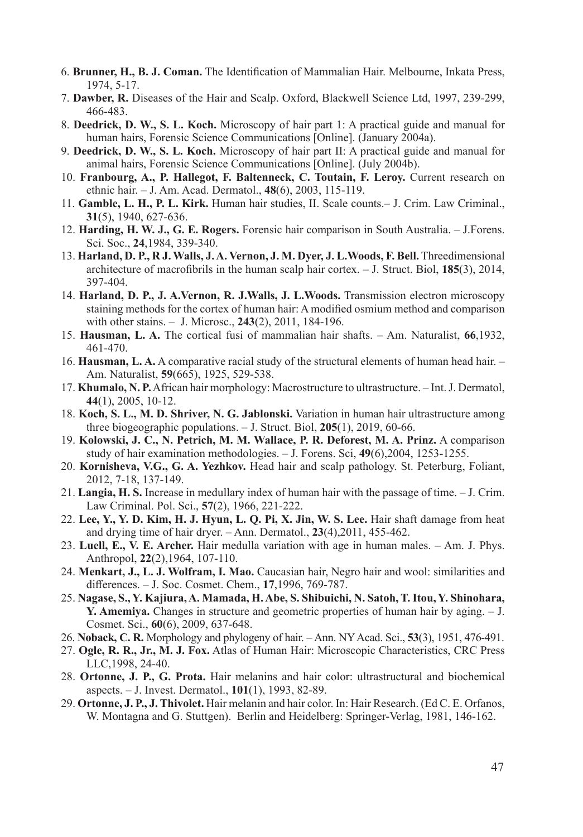- 6. **Brunner, H., B. J. Coman.** The Identification of Mammalian Hair. Melbourne, Inkata Press, 1974, 5-17.
- 7. **Dawber, R.** Diseases of the Hair and Scalp. Oxford, Blackwell Science Ltd, 1997, 239-299, 466-483.
- 8. **Deedrick, D. W., S. L. Koch.** Microscopy of hair part 1: A practical guide and manual for human hairs, Forensic Science Communications [Online]. (January 2004a).
- 9. **Deedrick, D. W., S. L. Koch.** Microscopy of hair part II: A practical guide and manual for animal hairs, Forensic Science Communications [Online]. (July 2004b).
- 10. **Franbourg, A., P. Hallegot, F. Baltenneck, C. Toutain, F. Leroy.** Current research on ethnic hair. – J. Am. Acad. Dermatol., **48**(6), 2003, 115-119.
- 11. **Gamble, L. H., P. L. Kirk.** Human hair studies, II. Scale counts.– J. Crim. Law Criminal., **31**(5), 1940, 627-636.
- 12. **Harding, H. W. J., G. E. Rogers.** Forensic hair comparison in South Australia. J.Forens. Sci. Soc., **24**,1984, 339-340.
- 13. **Harland, D. P., R J. Walls, J. A. Vernon, J. M. Dyer, J. L.Woods, F. Bell.** Threedimensional architecture of macrofibrils in the human scalp hair cortex. – J. Struct. Biol, **185**(3), 2014, 397-404.
- 14. **Harland, D. P., J. A.Vernon, R. J.Walls, J. L.Woods.** Transmission electron microscopy staining methods for the cortex of human hair: A modified osmium method and comparison with other stains. – J. Microsc., **243**(2), 2011, 184-196.
- 15. **Hausman, L. A.** The cortical fusi of mammalian hair shafts. Am. Naturalist, **66**,1932, 461-470.
- 16. **Hausman, L. A.** A comparative racial study of the structural elements of human head hair. Am. Naturalist, **59**(665), 1925, 529-538.
- 17. **Khumalo, N. P.** African hair morphology: Macrostructure to ultrastructure. Int. J. Dermatol, **44**(1), 2005, 10-12.
- 18. **Koch, S. L., M. D. Shriver, N. G. Jablonski.** Variation in human hair ultrastructure among three biogeographic populations. – J. Struct. Biol, **205**(1), 2019, 60-66.
- 19. **Kolowski, J. C., N. Petrich, M. M. Wallace, P. R. Deforest, M. A. Prinz.** A comparison study of hair examination methodologies. – J. Forens. Sci, **49**(6),2004, 1253-1255.
- 20. **Kornisheva, V.G., G. A. Yezhkov.** Head hair and scalp pathology. St. Peterburg, Foliant, 2012, 7-18, 137-149.
- 21. **Langia, H. S.** Increase in medullary index of human hair with the passage of time. J. Crim. Law Criminal. Pol. Sci., **57**(2), 1966, 221-222.
- 22. **Lee, Y., Y. D. Kim, H. J. Hyun, L. Q. Pi, X. Jin, W. S. Lee.** Hair shaft damage from heat and drying time of hair dryer. – Ann. Dermatol., **23**(4),2011, 455-462.
- 23. **Luell, E., V. E. Archer.** Hair medulla variation with age in human males. Am. J. Phys. Anthropol, **22**(2),1964, 107-110.
- 24. **Menkart, J., L. J. Wolfram, I. Mao.** Caucasian hair, Negro hair and wool: similarities and differences. – J. Soc. Cosmet. Chem., **17**,1996, 769-787.
- 25. **Nagase, S., Y. Kajiura, A. Mamada, H. Abe, S. Shibuichi, N. Satoh, T. Itou, Y. Shinohara, Y. Amemiya.** Changes in structure and geometric properties of human hair by aging. – J. Cosmet. Sci., **60**(6), 2009, 637-648.
- 26. **Noback, C. R.** Morphology and phylogeny of hair. Ann. NY Acad. Sci., **53**(3), 1951, 476-491.
- 27. **Ogle, R. R., Jr., M. J. Fox.** Atlas of Human Hair: Microscopic Characteristics, CRC Press LLC,1998, 24-40.
- 28. **Ortonne, J. P., G. Prota.** Hair melanins and hair color: ultrastructural and biochemical aspects. – J. Invest. Dermatol., **101**(1), 1993, 82-89.
- 29. **Ortonne, J. P., J. Thivolet.** Hair melanin and hair color. In: Hair Research. (Ed C. E. Orfanos, W. Montagna and G. Stuttgen). Berlin and Heidelberg: Springer-Verlag, 1981, 146-162.